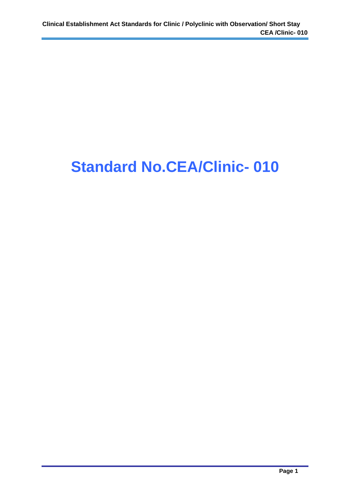## **Standard No.CEA/Clinic- 010**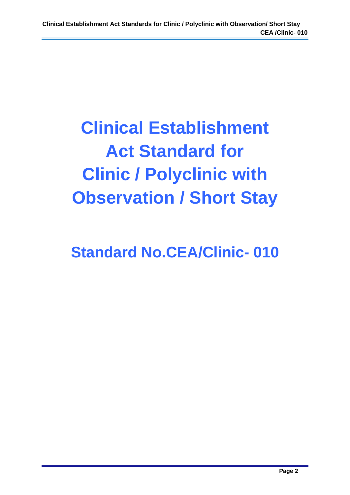# **Clinical Establishment Act Standard for Clinic / Polyclinic with Observation / Short Stay**

## **Standard No.CEA/Clinic- 010**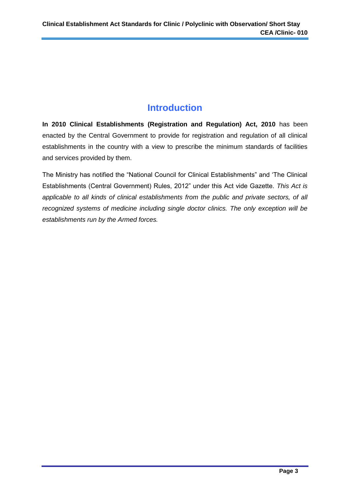## **Introduction**

**In 2010 Clinical Establishments (Registration and Regulation) Act, 2010** has been enacted by the Central Government to provide for registration and regulation of all clinical establishments in the country with a view to prescribe the minimum standards of facilities and services provided by them.

The Ministry has notified the "National Council for Clinical Establishments" and 'The Clinical Establishments (Central Government) Rules, 2012" under this Act vide Gazette. *This Act is applicable to all kinds of clinical establishments from the public and private sectors, of all recognized systems of medicine including single doctor clinics. The only exception will be establishments run by the Armed forces.*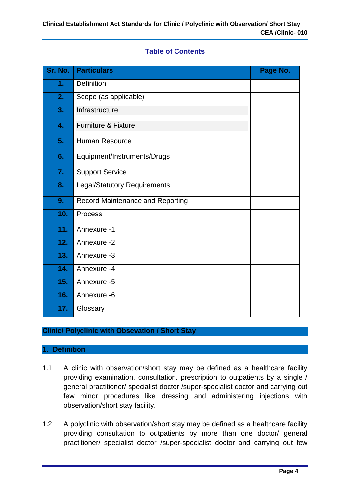#### **Table of Contents**

| Sr. No. | <b>Particulars</b>                      | Page No. |
|---------|-----------------------------------------|----------|
| 1.      | Definition                              |          |
| 2.      | Scope (as applicable)                   |          |
| 3.      | Infrastructure                          |          |
| 4.      | Furniture & Fixture                     |          |
| 5.      | <b>Human Resource</b>                   |          |
| 6.      | Equipment/Instruments/Drugs             |          |
| 7.      | <b>Support Service</b>                  |          |
| 8.      | <b>Legal/Statutory Requirements</b>     |          |
| 9.      | <b>Record Maintenance and Reporting</b> |          |
| 10.     | Process                                 |          |
| 11.     | Annexure -1                             |          |
| 12.     | Annexure -2                             |          |
| 13.     | Annexure -3                             |          |
| 14.     | Annexure -4                             |          |
| 15.     | Annexure -5                             |          |
| 16.     | Annexure -6                             |          |
| 17.     | Glossary                                |          |

### **Clinic/ Polyclinic with Obsevation / Short Stay**

#### 1. **Definition**

- 1.1 A clinic with observation/short stay may be defined as a healthcare facility providing examination, consultation, prescription to outpatients by a single / general practitioner/ specialist doctor /super-specialist doctor and carrying out few minor procedures like dressing and administering injections with observation/short stay facility.
- 1.2 A polyclinic with observation/short stay may be defined as a healthcare facility providing consultation to outpatients by more than one doctor/ general practitioner/ specialist doctor /super-specialist doctor and carrying out few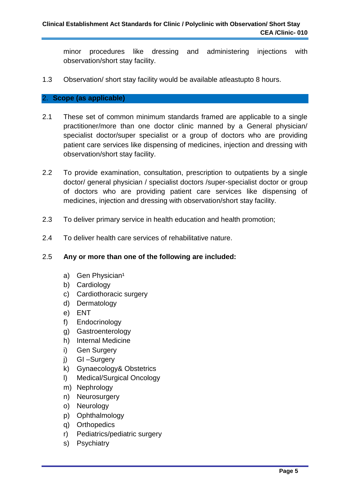minor procedures like dressing and administering injections with observation/short stay facility.

1.3 Observation/ short stay facility would be available atleastupto 8 hours.

#### 2. **Scope (as applicable)**

- 2.1 These set of common minimum standards framed are applicable to a single practitioner/more than one doctor clinic manned by a General physician/ specialist doctor/super specialist or a group of doctors who are providing patient care services like dispensing of medicines, injection and dressing with observation/short stay facility.
- 2.2 To provide examination, consultation, prescription to outpatients by a single doctor/ general physician / specialist doctors /super-specialist doctor or group of doctors who are providing patient care services like dispensing of medicines, injection and dressing with observation/short stay facility.
- 2.3 To deliver primary service in health education and health promotion;
- 2.4 To deliver health care services of rehabilitative nature.

#### 2.5 **Any or more than one of the following are included:**

- a) Gen Physician<sup>1</sup>
- b) Cardiology
- c) Cardiothoracic surgery
- d) Dermatology
- e) ENT
- f) Endocrinology
- g) Gastroenterology
- h) Internal Medicine
- i) Gen Surgery
- j) GI –Surgery
- k) Gynaecology& Obstetrics
- l) Medical/Surgical Oncology
- m) Nephrology
- n) Neurosurgery
- o) Neurology
- p) Ophthalmology
- q) Orthopedics
- r) Pediatrics/pediatric surgery
- s) Psychiatry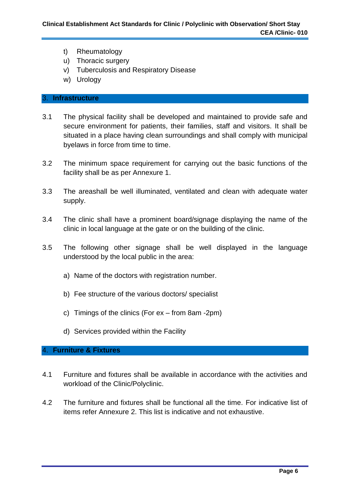- t) Rheumatology
- u) Thoracic surgery
- v) Tuberculosis and Respiratory Disease
- w) Urology

#### 3. **Infrastructure**

- 3.1 The physical facility shall be developed and maintained to provide safe and secure environment for patients, their families, staff and visitors. It shall be situated in a place having clean surroundings and shall comply with municipal byelaws in force from time to time.
- 3.2 The minimum space requirement for carrying out the basic functions of the facility shall be as per Annexure 1.
- 3.3 The areashall be well illuminated, ventilated and clean with adequate water supply.
- 3.4 The clinic shall have a prominent board/signage displaying the name of the clinic in local language at the gate or on the building of the clinic.
- 3.5 The following other signage shall be well displayed in the language understood by the local public in the area:
	- a) Name of the doctors with registration number.
	- b) Fee structure of the various doctors/ specialist
	- c) Timings of the clinics (For ex from 8am -2pm)
	- d) Services provided within the Facility

#### 4. **Furniture & Fixtures**

- 4.1 Furniture and fixtures shall be available in accordance with the activities and workload of the Clinic/Polyclinic.
- 4.2 The furniture and fixtures shall be functional all the time. For indicative list of items refer Annexure 2. This list is indicative and not exhaustive.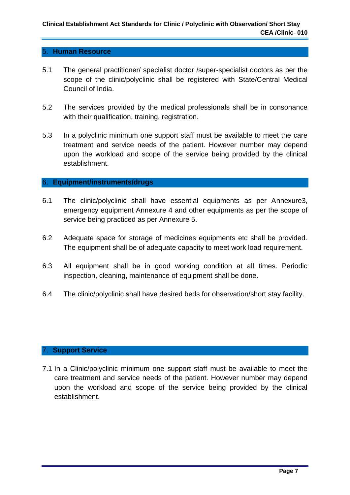#### 5. **Human Resource**

- 5.1 The general practitioner/ specialist doctor /super-specialist doctors as per the scope of the clinic/polyclinic shall be registered with State/Central Medical Council of India.
- 5.2 The services provided by the medical professionals shall be in consonance with their qualification, training, registration.
- 5.3 In a polyclinic minimum one support staff must be available to meet the care treatment and service needs of the patient. However number may depend upon the workload and scope of the service being provided by the clinical establishment.

#### 6. **Equipment/instruments/drugs**

- 6.1 The clinic/polyclinic shall have essential equipments as per Annexure3, emergency equipment Annexure 4 and other equipments as per the scope of service being practiced as per Annexure 5.
- 6.2 Adequate space for storage of medicines equipments etc shall be provided. The equipment shall be of adequate capacity to meet work load requirement.
- 6.3 All equipment shall be in good working condition at all times. Periodic inspection, cleaning, maintenance of equipment shall be done.
- 6.4 The clinic/polyclinic shall have desired beds for observation/short stay facility.

#### 7. **Support Service**

7.1 In a Clinic/polyclinic minimum one support staff must be available to meet the care treatment and service needs of the patient. However number may depend upon the workload and scope of the service being provided by the clinical establishment.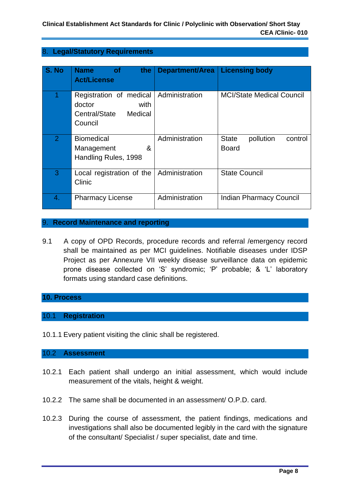#### 8. **Legal/Statutory Requirements**

| S. No          | <b>Name</b><br>the<br><b>of</b><br><b>Act/License</b>                            | <b>Department/Area</b> | <b>Licensing body</b>                                |
|----------------|----------------------------------------------------------------------------------|------------------------|------------------------------------------------------|
|                | Registration of medical<br>doctor<br>with<br>Central/State<br>Medical<br>Council | Administration         | <b>MCI/State Medical Council</b>                     |
| $\overline{2}$ | <b>Biomedical</b><br>&<br>Management<br>Handling Rules, 1998                     | Administration         | pollution<br><b>State</b><br>control<br><b>Board</b> |
| 3              | Local registration of the<br>Clinic                                              | Administration         | <b>State Council</b>                                 |
| 4.             | <b>Pharmacy License</b>                                                          | Administration         | <b>Indian Pharmacy Council</b>                       |

#### 9. **Record Maintenance and reporting**

9.1 A copy of OPD Records, procedure records and referral /emergency record shall be maintained as per MCI guidelines. Notifiable diseases under IDSP Project as per Annexure VII weekly disease surveillance data on epidemic prone disease collected on 'S' syndromic; 'P' probable; & 'L' laboratory formats using standard case definitions.

#### **10. Process**

#### 10.1 **Registration**

10.1.1 Every patient visiting the clinic shall be registered.

#### 10.2 **Assessment**

- 10.2.1 Each patient shall undergo an initial assessment, which would include measurement of the vitals, height & weight.
- 10.2.2 The same shall be documented in an assessment/ O.P.D. card.
- 10.2.3 During the course of assessment, the patient findings, medications and investigations shall also be documented legibly in the card with the signature of the consultant/ Specialist / super specialist, date and time.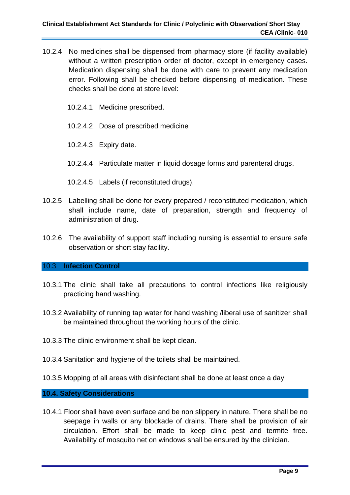- 10.2.4 No medicines shall be dispensed from pharmacy store (if facility available) without a written prescription order of doctor, except in emergency cases. Medication dispensing shall be done with care to prevent any medication error. Following shall be checked before dispensing of medication. These checks shall be done at store level:
	- 10.2.4.1 Medicine prescribed.
	- 10.2.4.2 Dose of prescribed medicine
	- 10.2.4.3 Expiry date.
	- 10.2.4.4 Particulate matter in liquid dosage forms and parenteral drugs.
	- 10.2.4.5 Labels (if reconstituted drugs).
- 10.2.5 Labelling shall be done for every prepared / reconstituted medication, which shall include name, date of preparation, strength and frequency of administration of drug.
- 10.2.6 The availability of support staff including nursing is essential to ensure safe observation or short stay facility.

#### 10.3 **Infection Control**

- 10.3.1 The clinic shall take all precautions to control infections like religiously practicing hand washing.
- 10.3.2 Availability of running tap water for hand washing /liberal use of sanitizer shall be maintained throughout the working hours of the clinic.
- 10.3.3 The clinic environment shall be kept clean.
- 10.3.4 Sanitation and hygiene of the toilets shall be maintained.
- 10.3.5 Mopping of all areas with disinfectant shall be done at least once a day

#### **10.4. Safety Considerations**

10.4.1 Floor shall have even surface and be non slippery in nature. There shall be no seepage in walls or any blockade of drains. There shall be provision of air circulation. Effort shall be made to keep clinic pest and termite free. Availability of mosquito net on windows shall be ensured by the clinician.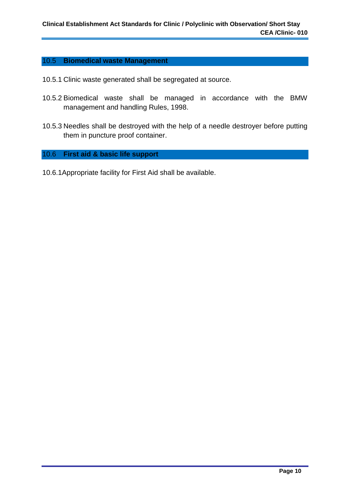#### 10.5 **Biomedical waste Management**

- 10.5.1 Clinic waste generated shall be segregated at source.
- 10.5.2 Biomedical waste shall be managed in accordance with the BMW management and handling Rules, 1998.
- 10.5.3 Needles shall be destroyed with the help of a needle destroyer before putting them in puncture proof container.

## 10.6 **First aid & basic life support**

10.6.1Appropriate facility for First Aid shall be available.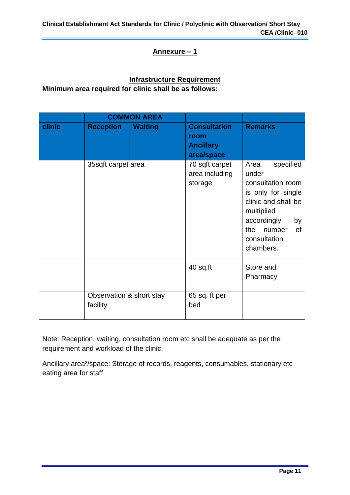#### **Annexure – 1**

## **Infrastructure Requirement**

**Minimum area required for clinic shall be as follows:**

|        |                                      | <b>COMMON AREA</b> |                                                               |                                                                                                                                                                                            |
|--------|--------------------------------------|--------------------|---------------------------------------------------------------|--------------------------------------------------------------------------------------------------------------------------------------------------------------------------------------------|
| clinic | <b>Reception</b>                     | <b>Waiting</b>     | <b>Consultation</b><br>room<br><b>Ancillary</b><br>area/space | <b>Remarks</b>                                                                                                                                                                             |
|        | 35sqft carpet area                   |                    | 70 sqft carpet<br>area including<br>storage                   | specified<br>Area<br>under<br>consultation room<br>is only for single<br>clinic and shall be<br>multiplied<br>accordingly<br>by<br>number<br>the<br><b>of</b><br>consultation<br>chambers. |
|        |                                      |                    | 40 sq.ft                                                      | Store and<br>Pharmacy                                                                                                                                                                      |
|        | Observation & short stay<br>facility |                    | 65 sq. ft per<br>bed                                          |                                                                                                                                                                                            |

Note: Reception, waiting, consultation room etc shall be adequate as per the requirement and workload of the clinic.

Ancillary area²/space: Storage of records, reagents, consumables, stationary etc eating area for staff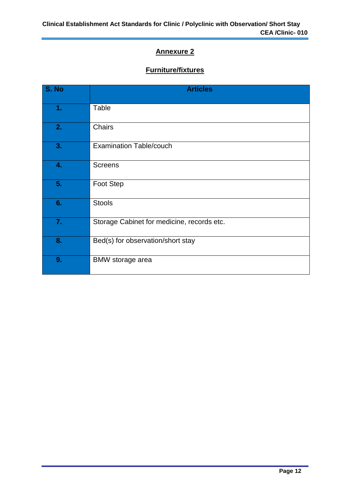## **Annexure 2**

## **Furniture/fixtures**

| S. No | <b>Articles</b>                            |
|-------|--------------------------------------------|
| 1.    | Table                                      |
| 2.    | Chairs                                     |
| 3.    | <b>Examination Table/couch</b>             |
| 4.    | <b>Screens</b>                             |
| 5.    | <b>Foot Step</b>                           |
| 6.    | <b>Stools</b>                              |
| 7.    | Storage Cabinet for medicine, records etc. |
| 8.    | Bed(s) for observation/short stay          |
| 9.    | <b>BMW</b> storage area                    |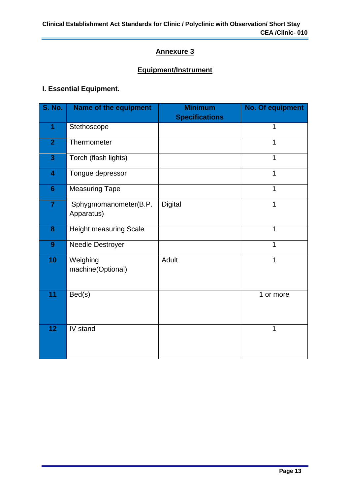## **Annexure 3**

## **Equipment/Instrument**

## **I. Essential Equipment.**

| <b>S. No.</b>           | <b>Name of the equipment</b>        | <b>Minimum</b><br><b>Specifications</b> | <b>No. Of equipment</b> |
|-------------------------|-------------------------------------|-----------------------------------------|-------------------------|
| 1                       | Stethoscope                         |                                         | 1                       |
| $\overline{2}$          | Thermometer                         |                                         | 1                       |
| $\overline{\mathbf{3}}$ | Torch (flash lights)                |                                         | 1                       |
| 4                       | Tongue depressor                    |                                         | 1                       |
| $6\phantom{1}$          | <b>Measuring Tape</b>               |                                         | 1                       |
| $\overline{7}$          | Sphygmomanometer(B.P.<br>Apparatus) | <b>Digital</b>                          | 1                       |
| 8                       | <b>Height measuring Scale</b>       |                                         | 1                       |
| 9                       | Needle Destroyer                    |                                         | 1                       |
| 10                      | Weighing<br>machine(Optional)       | <b>Adult</b>                            | 1                       |
| 11                      | Bed(s)                              |                                         | 1 or more               |
| 12                      | IV stand                            |                                         | 1                       |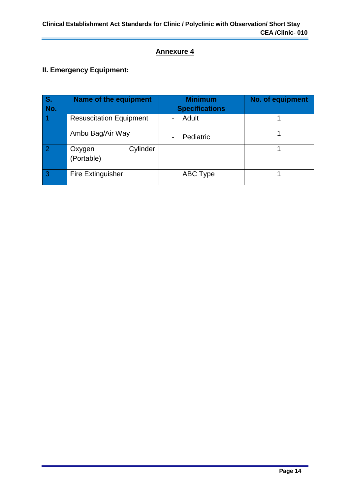## **Annexure 4**

## **II. Emergency Equipment:**

| S.  | Name of the equipment            | <b>Minimum</b>        | No. of equipment |
|-----|----------------------------------|-----------------------|------------------|
| No. |                                  | <b>Specifications</b> |                  |
|     | <b>Resuscitation Equipment</b>   | Adult                 |                  |
|     | Ambu Bag/Air Way                 | Pediatric             |                  |
| -2  | Cylinder<br>Oxygen<br>(Portable) |                       |                  |
| 3   | <b>Fire Extinguisher</b>         | ABC Type              |                  |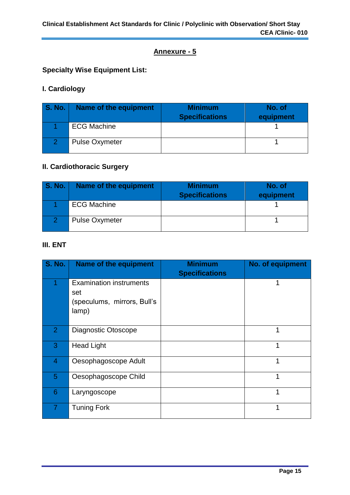## **Annexure - 5**

## **Specialty Wise Equipment List:**

## **I. Cardiology**

| <b>S. No.</b> | Name of the equipment | <b>Minimum</b><br><b>Specifications</b> | No. of<br>equipment |
|---------------|-----------------------|-----------------------------------------|---------------------|
|               | <b>ECG Machine</b>    |                                         |                     |
|               | <b>Pulse Oxymeter</b> |                                         |                     |

## **II. Cardiothoracic Surgery**

| <b>S. No.</b> | Name of the equipment | <b>Minimum</b><br><b>Specifications</b> | No. of<br>equipment |
|---------------|-----------------------|-----------------------------------------|---------------------|
|               | <b>ECG Machine</b>    |                                         |                     |
|               | <b>Pulse Oxymeter</b> |                                         |                     |

## **III. ENT**

| <b>S. No.</b>  | <b>Name of the equipment</b>                                                  | <b>Minimum</b><br><b>Specifications</b> | No. of equipment |
|----------------|-------------------------------------------------------------------------------|-----------------------------------------|------------------|
|                | <b>Examination instruments</b><br>set<br>(speculums, mirrors, Bull's<br>lamp) |                                         | 1                |
| 2 <sup>1</sup> | Diagnostic Otoscope                                                           |                                         | 1                |
| 3              | <b>Head Light</b>                                                             |                                         | 1                |
| 4              | Oesophagoscope Adult                                                          |                                         | 1                |
| 5              | Oesophagoscope Child                                                          |                                         | 1                |
| 6              | Laryngoscope                                                                  |                                         | 1                |
|                | <b>Tuning Fork</b>                                                            |                                         | 1                |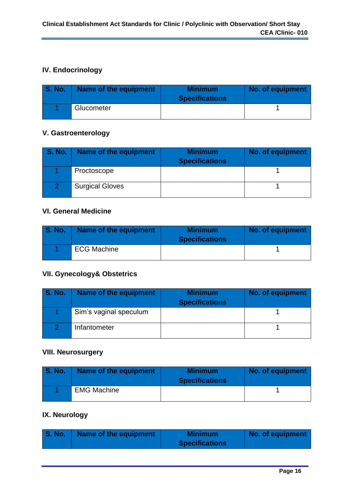## **IV. Endocrinology**

| <b>S. No.</b> | Name of the equipment | <b>Minimum</b><br><b>Specifications</b> | No. of equipment |
|---------------|-----------------------|-----------------------------------------|------------------|
|               | Glucometer            |                                         |                  |

#### **V. Gastroenterology**

| <b>S. No.</b> | Name of the equipment  | <b>Minimum</b><br><b>Specifications</b> | No. of equipment |
|---------------|------------------------|-----------------------------------------|------------------|
|               | Proctoscope            |                                         |                  |
|               | <b>Surgical Gloves</b> |                                         |                  |

#### **VI. General Medicine**

| S. No. | Name of the equipment | <b>Minimum</b><br><b>Specifications</b> | No. of equipment |
|--------|-----------------------|-----------------------------------------|------------------|
|        | <b>ECG Machine</b>    |                                         |                  |

#### **VII. Gynecology& Obstetrics**

| <b>S. No.</b> | Name of the equipment  | <b>Minimum</b><br><b>Specifications</b> | No. of equipment |
|---------------|------------------------|-----------------------------------------|------------------|
|               | Sim's vaginal speculum |                                         |                  |
|               | Infantometer           |                                         |                  |

## **VIII. Neurosurgery**

| <b>S. No.</b> | Name of the equipment | <b>Minimum</b><br><b>Specifications</b> | No. of equipment |
|---------------|-----------------------|-----------------------------------------|------------------|
|               | <b>EMG Machine</b>    |                                         |                  |

## **IX. Neurology**

| <b>S. No.</b><br>Name of the equipment | <b>Minimum</b><br><b>Specifications</b> | No. of equipment |
|----------------------------------------|-----------------------------------------|------------------|
|----------------------------------------|-----------------------------------------|------------------|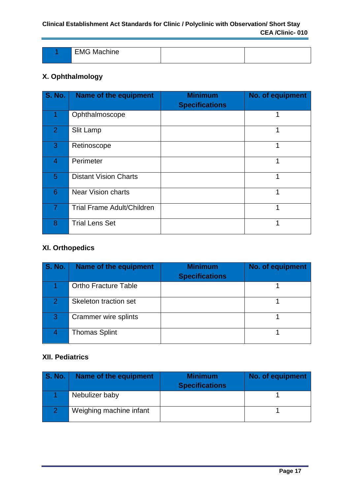#### **Clinical Establishment Act Standards for Clinic / Polyclinic with Observation/ Short Stay CEA /Clinic- 010**

| . FM 4<br>$\blacksquare$ |  |
|--------------------------|--|
|                          |  |

## **X. Ophthalmology**

| <b>S. No.</b>  | Name of the equipment             | <b>Minimum</b><br><b>Specifications</b> | No. of equipment |
|----------------|-----------------------------------|-----------------------------------------|------------------|
|                | Ophthalmoscope                    |                                         |                  |
| $\overline{2}$ | Slit Lamp                         |                                         |                  |
| 3              | Retinoscope                       |                                         |                  |
| 4              | Perimeter                         |                                         |                  |
| 5              | <b>Distant Vision Charts</b>      |                                         | 1                |
| 6              | <b>Near Vision charts</b>         |                                         | ◀                |
| $\overline{7}$ | <b>Trial Frame Adult/Children</b> |                                         | 1                |
| 8              | <b>Trial Lens Set</b>             |                                         | 4                |

## **XI. Orthopedics**

| <b>S. No.</b>    | Name of the equipment       | <b>Minimum</b><br><b>Specifications</b> | No. of equipment |
|------------------|-----------------------------|-----------------------------------------|------------------|
|                  | <b>Ortho Fracture Table</b> |                                         |                  |
| $\overline{2}$ . | Skeleton traction set       |                                         |                  |
| 3                | Crammer wire splints        |                                         |                  |
|                  | <b>Thomas Splint</b>        |                                         |                  |

#### **XII. Pediatrics**

| <b>S. No.</b> | Name of the equipment   | <b>Minimum</b><br><b>Specifications</b> | No. of equipment |
|---------------|-------------------------|-----------------------------------------|------------------|
|               | Nebulizer baby          |                                         |                  |
|               | Weighing machine infant |                                         |                  |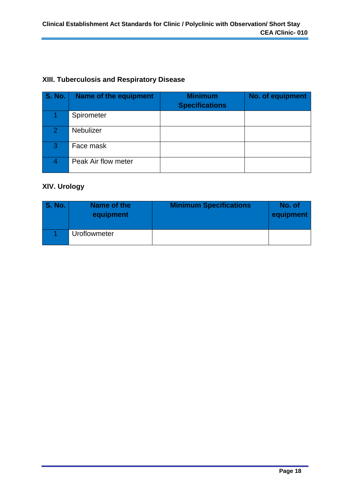## **XIII. Tuberculosis and Respiratory Disease**

| <b>S. No.</b>  | Name of the equipment | <b>Minimum</b><br><b>Specifications</b> | No. of equipment |
|----------------|-----------------------|-----------------------------------------|------------------|
|                | Spirometer            |                                         |                  |
| $\overline{2}$ | <b>Nebulizer</b>      |                                         |                  |
| 3              | Face mask             |                                         |                  |
|                | Peak Air flow meter   |                                         |                  |

## **XIV. Urology**

| <b>S. No.</b> | Name of the<br>equipment | <b>Minimum Specifications</b> | No. of<br>equipment |
|---------------|--------------------------|-------------------------------|---------------------|
|               | <b>Uroflowmeter</b>      |                               |                     |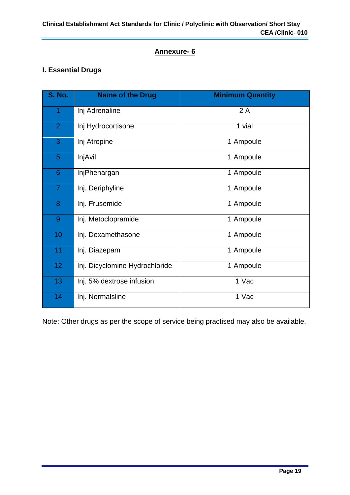## **Annexure- 6**

## **I. Essential Drugs**

| <b>S. No.</b>  | <b>Name of the Drug</b>        | <b>Minimum Quantity</b> |
|----------------|--------------------------------|-------------------------|
| 1              | Inj Adrenaline                 | 2A                      |
| $\overline{2}$ | Inj Hydrocortisone             | 1 vial                  |
| 3              | Inj Atropine                   | 1 Ampoule               |
| $\overline{5}$ | InjAvil                        | 1 Ampoule               |
| 6              | InjPhenargan                   | 1 Ampoule               |
| $\overline{7}$ | Inj. Deriphyline               | 1 Ampoule               |
| 8              | Inj. Frusemide                 | 1 Ampoule               |
| 9              | Inj. Metoclopramide            | 1 Ampoule               |
| 10             | Inj. Dexamethasone             | 1 Ampoule               |
| 11             | Inj. Diazepam                  | 1 Ampoule               |
| 12             | Inj. Dicyclomine Hydrochloride | 1 Ampoule               |
| 13             | Inj. 5% dextrose infusion      | 1 Vac                   |
| 14             | Inj. Normalsline               | 1 Vac                   |

Note: Other drugs as per the scope of service being practised may also be available.